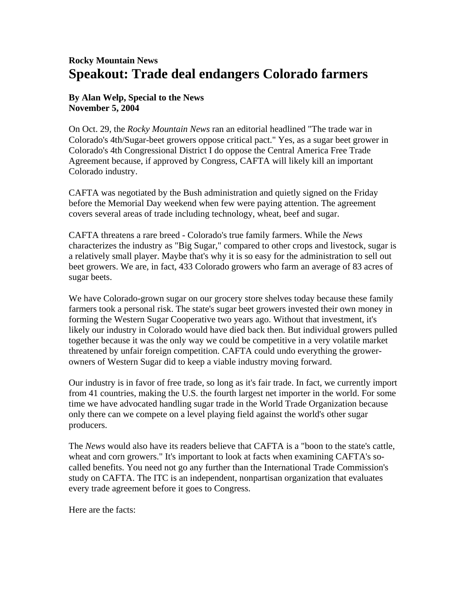## **Rocky Mountain News Speakout: Trade deal endangers Colorado farmers**

## **By Alan Welp, Special to the News November 5, 2004**

On Oct. 29, the *Rocky Mountain News* ran an editorial headlined "The trade war in Colorado's 4th/Sugar-beet growers oppose critical pact." Yes, as a sugar beet grower in Colorado's 4th Congressional District I do oppose the Central America Free Trade Agreement because, if approved by Congress, CAFTA will likely kill an important Colorado industry.

CAFTA was negotiated by the Bush administration and quietly signed on the Friday before the Memorial Day weekend when few were paying attention. The agreement covers several areas of trade including technology, wheat, beef and sugar.

CAFTA threatens a rare breed - Colorado's true family farmers. While the *News* characterizes the industry as "Big Sugar," compared to other crops and livestock, sugar is a relatively small player. Maybe that's why it is so easy for the administration to sell out beet growers. We are, in fact, 433 Colorado growers who farm an average of 83 acres of sugar beets.

We have Colorado-grown sugar on our grocery store shelves today because these family farmers took a personal risk. The state's sugar beet growers invested their own money in forming the Western Sugar Cooperative two years ago. Without that investment, it's likely our industry in Colorado would have died back then. But individual growers pulled together because it was the only way we could be competitive in a very volatile market threatened by unfair foreign competition. CAFTA could undo everything the growerowners of Western Sugar did to keep a viable industry moving forward.

Our industry is in favor of free trade, so long as it's fair trade. In fact, we currently import from 41 countries, making the U.S. the fourth largest net importer in the world. For some time we have advocated handling sugar trade in the World Trade Organization because only there can we compete on a level playing field against the world's other sugar producers.

The *News* would also have its readers believe that CAFTA is a "boon to the state's cattle, wheat and corn growers." It's important to look at facts when examining CAFTA's socalled benefits. You need not go any further than the International Trade Commission's study on CAFTA. The ITC is an independent, nonpartisan organization that evaluates every trade agreement before it goes to Congress.

Here are the facts: